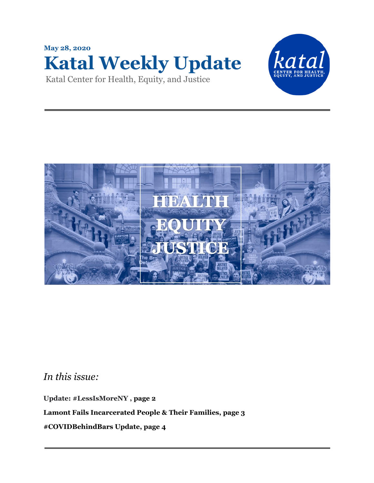





*In this issue:*

**Update: #LessIsMoreNY , page 2**

**Lamont Fails Incarcerated People & Their Families, page 3**

**#COVIDBehindBars Update, page 4**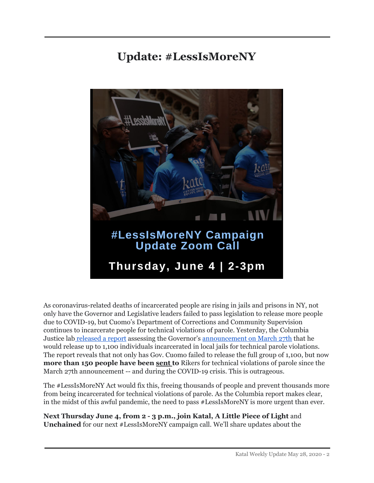## **Update: #LessIsMoreNY**



As coronavirus-related deaths of incarcerated people are rising in jails and prisons in NY, not only have the Governor and Legislative leaders failed to pass legislation to release more people due to COVID-19, but Cuomo's Department of Corrections and Community Supervision continues to incarcerate people for technical violations of parole. Yesterday, the Columbia Justice lab [released](https://justicelab.columbia.edu/two-months-later) a report assessing the Governor's [announcement](https://www.lessismoreny.org/covid19_1100release) on March 27th that he would release up to 1,100 individuals incarcerated in local jails for technical parole violations. The report reveals that not only has Gov. Cuomo failed to release the full group of 1,100, but now **more than 150 people have been sent to** Rikers for technical violations of parole since the March 27th announcement -- and during the COVID-19 crisis. This is outrageous.

The #LessIsMoreNY Act would fix this, freeing thousands of people and prevent thousands more from being incarcerated for technical violations of parole. As the Columbia report makes clear, in the midst of this awful pandemic, the need to pass #LessIsMoreNY is more urgent than ever.

**Next Thursday June 4, from 2 - 3 p.m., join Katal, A Little Piece of Light** and **Unchained** for our next #LessIsMoreNY campaign call. We'll share updates about the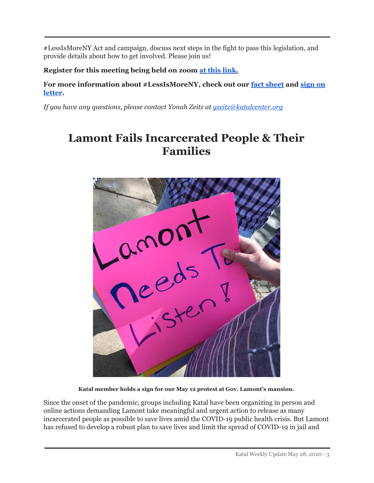#LessIsMoreNY Act and campaign, discuss next steps in the fight to pass this legislation, and provide details about how to get involved. Please join us!

**Register for this meeting being held on zoom at this [link.](https://us02web.zoom.us/meeting/register/tZIvd-2grj8jE9aa46P-WqwxL7DokxTOxuZU)**

**For more information about #LessIsMoreNY, check out our fact [sheet](https://d3n8a8pro7vhmx.cloudfront.net/katal/mailings/1321/attachments/original/LIMNY_Factsheet_4.23.20_-.pdf?1588697811) and [sign](https://d3n8a8pro7vhmx.cloudfront.net/katal/pages/2276/attachments/original/1590514009/Supporting_Letter__Less_is_More__5.26.20.pdf?1590514009) on [letter](https://d3n8a8pro7vhmx.cloudfront.net/katal/pages/2276/attachments/original/1590514009/Supporting_Letter__Less_is_More__5.26.20.pdf?1590514009).**

*If you have any questions, please contact Yonah Zeitz at [yzeitz@katalcenter.org](mailto:yzeitz@katalcenter.org)*

## **Lamont Fails Incarcerated People & Their Families**



**Katal member holds a sign for our May 12 protest at Gov. Lamont's mansion.**

Since the onset of the pandemic, groups including Katal have been organizing in person and online actions demanding Lamont take meaningful and urgent action to release as many incarcerated people as possible to save lives amid the COVID-19 public health crisis. But Lamont has refused to develop a robust plan to save lives and limit the spread of COVID-19 in jail and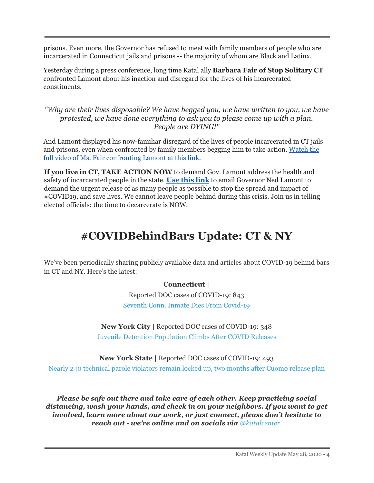prisons. Even more, the Governor has refused to meet with family members of people who are incarcerated in Connecticut jails and prisons -- the majority of whom are Black and Latinx.

Yesterday during a press conference, long time Katal ally **Barbara Fair of Stop Solitary CT** confronted Lamont about his inaction and disregard for the lives of his incarcerated constituents.

*"Why are their lives disposable? We have begged you, we have written to you, we have protested, we have done everything to ask you to please come up with a plan. People are DYING!"*

And Lamont displayed his now-familiar disregard of the lives of people incarcerated in CT jails and prisons, even when confronted by family members begging him to take action. [Watch](https://www.fox61.com/article/news/health/coronavirus/lamont-visits-testing-site-new-haven/520-f1b50cbf-b244-4ae0-94aa-565fec678e7d?fbclid=IwAR1I_sgJ8cxMUiwudKMHYtsKFcAMeGcCfU_lsF3NfyBWWwaCsZjjK2I3s6k) the full video of Ms. Fair [confronting](https://www.fox61.com/article/news/health/coronavirus/lamont-visits-testing-site-new-haven/520-f1b50cbf-b244-4ae0-94aa-565fec678e7d?fbclid=IwAR1I_sgJ8cxMUiwudKMHYtsKFcAMeGcCfU_lsF3NfyBWWwaCsZjjK2I3s6k) Lamont at this link.

**If you live in CT, TAKE ACTION NOW** to demand Gov. Lamont address the health and safety of incarcerated people in the state. **Use this [link](http://www.katalcenter.org/freethemnowct)** to email Governor Ned Lamont to demand the urgent release of as many people as possible to stop the spread and impact of #COVID19, and save lives. We cannot leave people behind during this crisis. Join us in telling elected officials: the time to decarcerate is NOW.

## **#COVIDBehindBars Update: CT & NY**

We've been periodically sharing publicly available data and articles about COVID-19 behind bars in CT and NY. Here's the latest:

## **Connecticut |**

Reported DOC cases of COVID-19: 843 Seventh Conn. Inmate Dies From Covid-19

**New York City |** Reported DOC cases of COVID-19: 348 Juvenile Detention Population Climbs After COVID Releases

**New York State |** Reported DOC cases of COVID-19: 493 Nearly 240 technical parole violators remain locked up, two months after Cuomo release plan

*Please be safe out there and take care of each other. Keep practicing social distancing, wash your hands, and check in on your neighbors. If you want to get involved, learn more about our work, or just connect, please don't hesitate to reach out - we're online and on socials via [@katalcenter.](https://www.katalcenter.org/r?u=FPXYBx5Xyt4ogPU1qeCocK3hubiMaipso4V_YhzTiHZrN9Qjuvw5_YWibbEgwwVm&e=bcd3b05b9ddfe06ba93bcf0931281d52&utm_source=katal&utm_medium=email&utm_campaign=update_4_16_2020&n=13&test_email=1)*